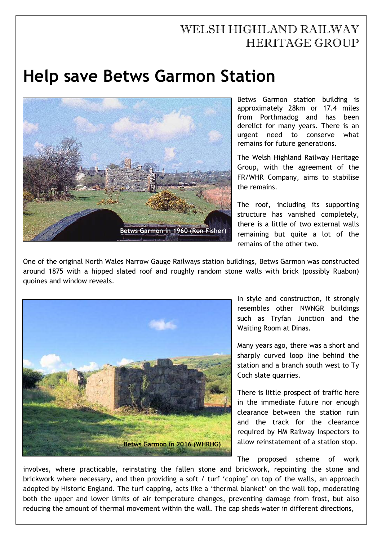## WELSH HIGHLAND RAILWAY HERITAGE GROUP

## **Help save Betws Garmon Station**



Betws Garmon station building is approximately 28km or 17.4 miles from Porthmadog and has been derelict for many years. There is an urgent need to conserve what remains for future generations.

The Welsh Highland Railway Heritage Group, with the agreement of the FR/WHR Company, aims to stabilise the remains.

The roof, including its supporting structure has vanished completely, there is a little of two external walls remaining but quite a lot of the remains of the other two.

One of the original North Wales Narrow Gauge Railways station buildings, Betws Garmon was constructed around 1875 with a hipped slated roof and roughly random stone walls with brick (possibly Ruabon) quoines and window reveals.



In style and construction, it strongly resembles other NWNGR buildings such as Tryfan Junction and the Waiting Room at Dinas.

Many years ago, there was a short and sharply curved loop line behind the station and a branch south west to Ty Coch slate quarries.

There is little prospect of traffic here in the immediate future nor enough clearance between the station ruin and the track for the clearance required by HM Railway Inspectors to allow reinstatement of a station stop.

The proposed scheme of work

involves, where practicable, reinstating the fallen stone and brickwork, repointing the stone and brickwork where necessary, and then providing a soft / turf 'coping' on top of the walls, an approach adopted by Historic England. The turf capping, acts like a 'thermal blanket' on the wall top, moderating both the upper and lower limits of air temperature changes, preventing damage from frost, but also reducing the amount of thermal movement within the wall. The cap sheds water in different directions,